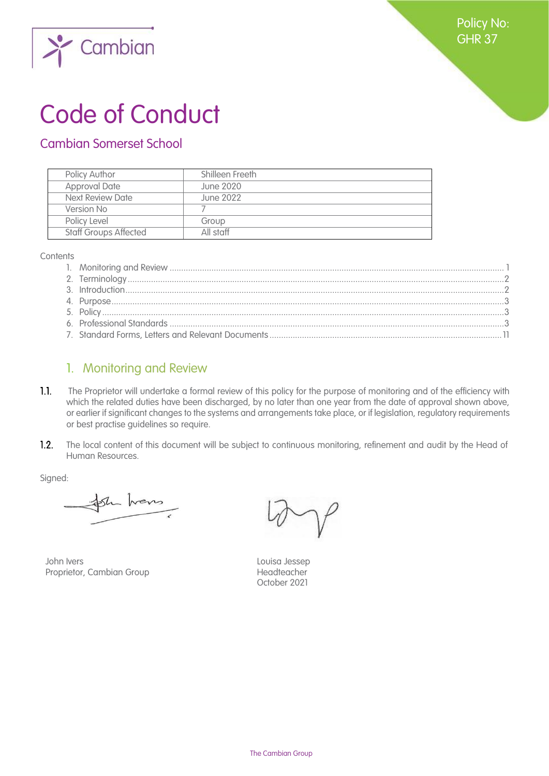

# Code of Conduct

# Cambian Somerset School

| Policy Author                | Shilleen Freeth |
|------------------------------|-----------------|
| <b>Approval Date</b>         | June 2020       |
| Next Review Date             | June 2022       |
| Version No                   |                 |
| Policy Level                 | Group           |
| <b>Staff Groups Affected</b> | All staff       |

**Contents** 

# 1. Monitoring and Review

- <span id="page-0-0"></span>1.1. The Proprietor will undertake a formal review of this policy for the purpose of monitoring and of the efficiency with which the related duties have been discharged, by no later than one year from the date of approval shown above, or earlier if significant changes to the systems and arrangements take place, or if legislation, regulatory requirements or best practise guidelines so require.
- 1.2. The local content of this document will be subject to continuous monitoring, refinement and audit by the Head of Human Resources.

Signed:

Sh hans

John Ivers Louisa Jessep Proprietor, Cambian Group

October 2021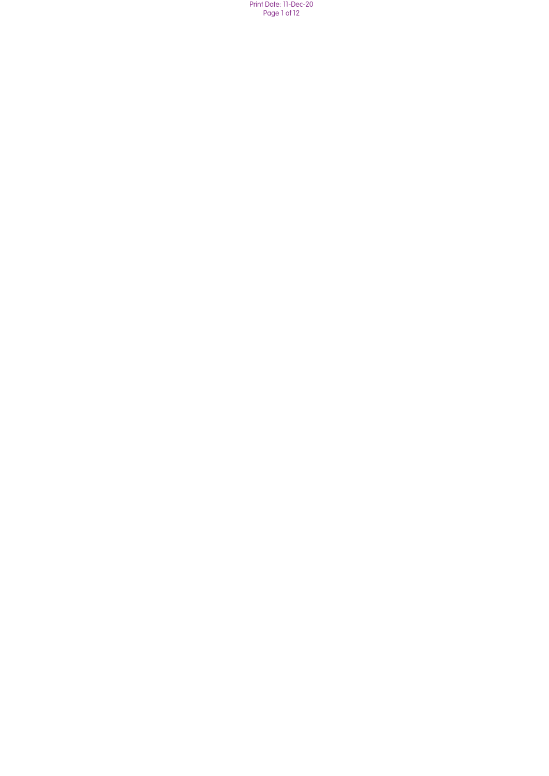Print Date: 11-Dec-20 Page 1 of 12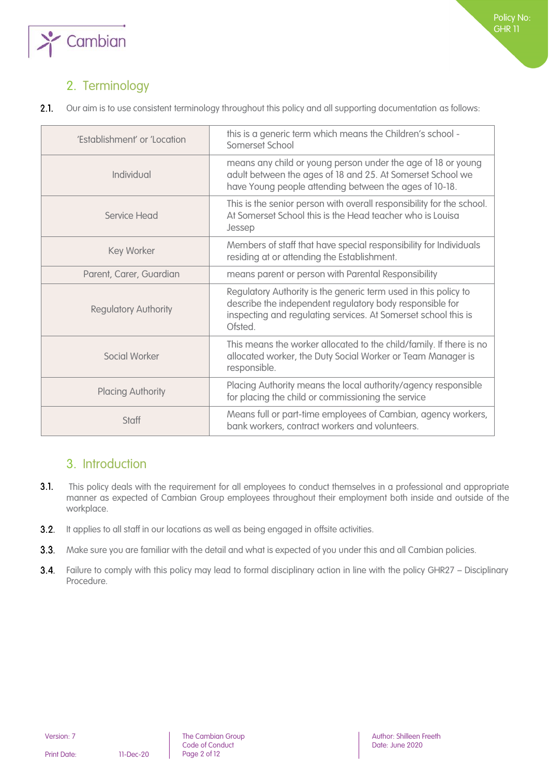

# 2. Terminology

<span id="page-2-0"></span>

|  |  | 2.1. Our aim is to use consistent terminology throughout this policy and all supporting documentation as follows: |  |  |  |  |
|--|--|-------------------------------------------------------------------------------------------------------------------|--|--|--|--|
|--|--|-------------------------------------------------------------------------------------------------------------------|--|--|--|--|

| 'Establishment' or 'Location | this is a generic term which means the Children's school -<br>Somerset School                                                                                                                            |
|------------------------------|----------------------------------------------------------------------------------------------------------------------------------------------------------------------------------------------------------|
| Individual                   | means any child or young person under the age of 18 or young<br>adult between the ages of 18 and 25. At Somerset School we<br>have Young people attending between the ages of 10-18.                     |
| Service Head                 | This is the senior person with overall responsibility for the school.<br>At Somerset School this is the Head teacher who is Louisa<br>Jessep                                                             |
| Key Worker                   | Members of staff that have special responsibility for Individuals<br>residing at or attending the Establishment.                                                                                         |
| Parent, Carer, Guardian      | means parent or person with Parental Responsibility                                                                                                                                                      |
| <b>Regulatory Authority</b>  | Regulatory Authority is the generic term used in this policy to<br>describe the independent regulatory body responsible for<br>inspecting and regulating services. At Somerset school this is<br>Ofsted. |
| Social Worker                | This means the worker allocated to the child/family. If there is no<br>allocated worker, the Duty Social Worker or Team Manager is<br>responsible.                                                       |
| <b>Placing Authority</b>     | Placing Authority means the local authority/agency responsible<br>for placing the child or commissioning the service                                                                                     |
| Staff                        | Means full or part-time employees of Cambian, agency workers,<br>bank workers, contract workers and volunteers.                                                                                          |

# 3. Introduction

- <span id="page-2-1"></span>3.1. This policy deals with the requirement for all employees to conduct themselves in a professional and appropriate manner as expected of Cambian Group employees throughout their employment both inside and outside of the workplace.
- 3.2. It applies to all staff in our locations as well as being engaged in offsite activities.
- 3.3. Make sure you are familiar with the detail and what is expected of you under this and all Cambian policies.
- 3.4. Failure to comply with this policy may lead to formal disciplinary action in line with the policy GHR27 Disciplinary Procedure.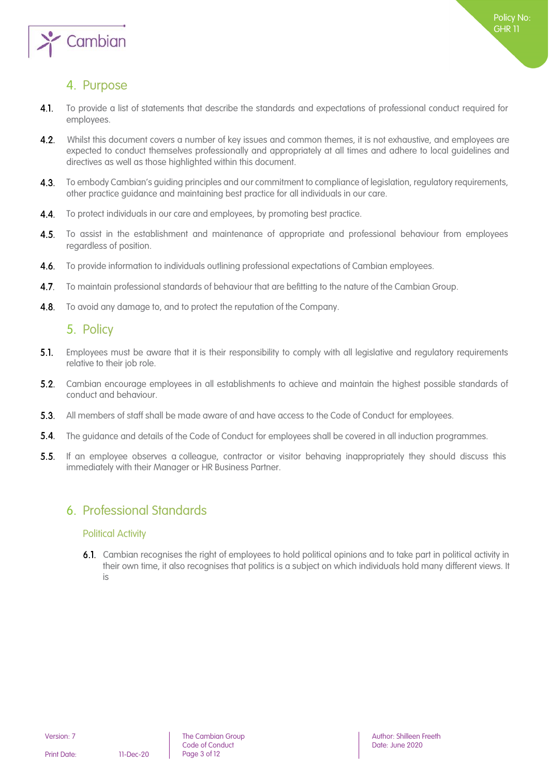

## 4. Purpose

- <span id="page-3-0"></span>4.1. To provide a list of statements that describe the standards and expectations of professional conduct required for employees.
- 4.2. Whilst this document covers a number of key issues and common themes, it is not exhaustive, and employees are expected to conduct themselves professionally and appropriately at all times and adhere to local guidelines and directives as well as those highlighted within this document.
- **4.3.** To embody Cambian's guiding principles and our commitment to compliance of legislation, regulatory requirements, other practice guidance and maintaining best practice for all individuals in our care.
- 4.4. To protect individuals in our care and employees, by promoting best practice.
- 4.5. To assist in the establishment and maintenance of appropriate and professional behaviour from employees regardless of position.
- **4.6.** To provide information to individuals outlining professional expectations of Cambian employees.
- 4.7. To maintain professional standards of behaviour that are befitting to the nature of the Cambian Group.
- <span id="page-3-1"></span>4.8. To avoid any damage to, and to protect the reputation of the Company.

## 5. Policy

- 5.1. Employees must be aware that it is their responsibility to comply with all legislative and regulatory requirements relative to their job role.
- **5.2.** Cambian encourage employees in all establishments to achieve and maintain the highest possible standards of conduct and behaviour.
- **5.3.** All members of staff shall be made aware of and have access to the Code of Conduct for employees.
- **5.4.** The guidance and details of the Code of Conduct for employees shall be covered in all induction programmes.
- **5.5.** If an employee observes a colleague, contractor or visitor behaving inappropriately they should discuss this immediately with their Manager or HR Business Partner.

## <span id="page-3-2"></span>6. Professional Standards

#### Political Activity

6.1. Cambian recognises the right of employees to hold political opinions and to take part in political activity in their own time, it also recognises that politics is a subject on which individuals hold many different views. It is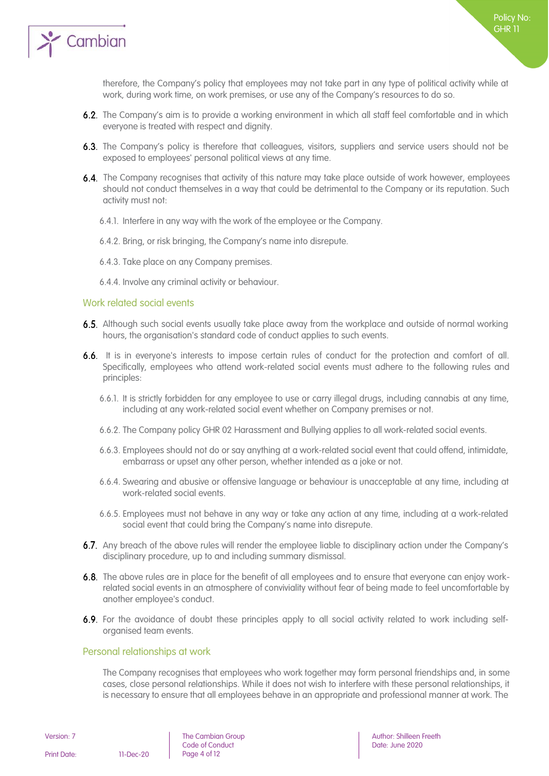

therefore, the Company's policy that employees may not take part in any type of political activity while at work, during work time, on work premises, or use any of the Company's resources to do so.

Policy No: **GHR 11** 

- 6.2. The Company's aim is to provide a working environment in which all staff feel comfortable and in which everyone is treated with respect and dignity.
- 6.3. The Company's policy is therefore that colleagues, visitors, suppliers and service users should not be exposed to employees' personal political views at any time.
- 6.4. The Company recognises that activity of this nature may take place outside of work however, employees should not conduct themselves in a way that could be detrimental to the Company or its reputation. Such activity must not:
	- 6.4.1. Interfere in any way with the work of the employee or the Company.
	- 6.4.2. Bring, or risk bringing, the Company's name into disrepute.
	- 6.4.3. Take place on any Company premises.
	- 6.4.4. Involve any criminal activity or behaviour.

#### Work related social events

- 6.5. Although such social events usually take place away from the workplace and outside of normal working hours, the organisation's standard code of conduct applies to such events.
- 6.6. It is in everyone's interests to impose certain rules of conduct for the protection and comfort of all. Specifically, employees who attend work-related social events must adhere to the following rules and principles:
	- 6.6.1. It is strictly forbidden for any employee to use or carry illegal drugs, including cannabis at any time, including at any work-related social event whether on Company premises or not.
	- 6.6.2. The Company policy GHR 02 Harassment and Bullying applies to all work-related social events.
	- 6.6.3. Employees should not do or say anything at a work-related social event that could offend, intimidate, embarrass or upset any other person, whether intended as a joke or not.
	- 6.6.4. Swearing and abusive or offensive language or behaviour is unacceptable at any time, including at work-related social events.
	- 6.6.5. Employees must not behave in any way or take any action at any time, including at a work-related social event that could bring the Company's name into disrepute.
- 6.7. Any breach of the above rules will render the employee liable to disciplinary action under the Company's disciplinary procedure, up to and including summary dismissal.
- 6.8. The above rules are in place for the benefit of all employees and to ensure that everyone can enjoy workrelated social events in an atmosphere of conviviality without fear of being made to feel uncomfortable by another employee's conduct.
- 6.9. For the avoidance of doubt these principles apply to all social activity related to work including selforganised team events.

#### Personal relationships at work

The Company recognises that employees who work together may form personal friendships and, in some cases, close personal relationships. While it does not wish to interfere with these personal relationships, it is necessary to ensure that all employees behave in an appropriate and professional manner at work. The

Print Date: 11-Dec-20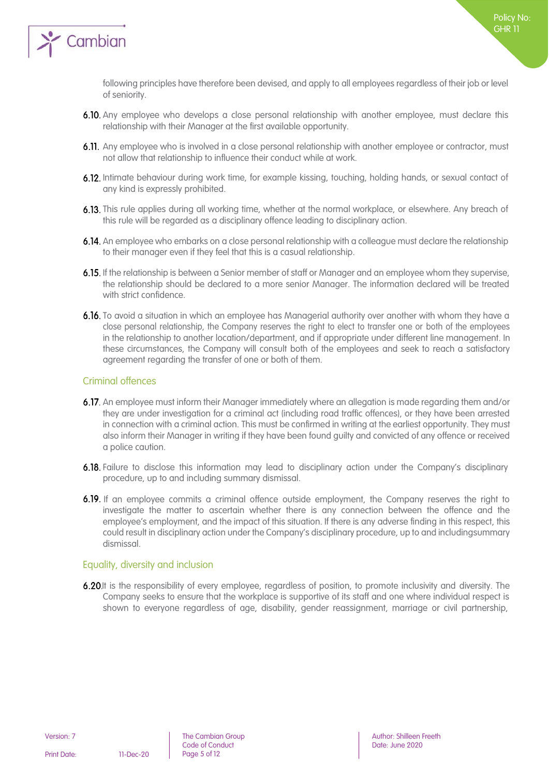

- 6.10. Any employee who develops a close personal relationship with another employee, must declare this relationship with their Manager at the first available opportunity.
- 6.11. Any employee who is involved in a close personal relationship with another employee or contractor, must not allow that relationship to influence their conduct while at work.
- 6.12. Intimate behaviour during work time, for example kissing, touching, holding hands, or sexual contact of any kind is expressly prohibited.
- 6.13. This rule applies during all working time, whether at the normal workplace, or elsewhere. Any breach of this rule will be regarded as a disciplinary offence leading to disciplinary action.
- 6.14. An employee who embarks on a close personal relationship with a colleague must declare the relationship to their manager even if they feel that this is a casual relationship.
- **6.15.** If the relationship is between a Senior member of staff or Manager and an employee whom they supervise, the relationship should be declared to a more senior Manager. The information declared will be treated with strict confidence.
- 6.16. To avoid a situation in which an employee has Managerial authority over another with whom they have a close personal relationship, the Company reserves the right to elect to transfer one or both of the employees in the relationship to another location/department, and if appropriate under different line management. In these circumstances, the Company will consult both of the employees and seek to reach a satisfactory agreement regarding the transfer of one or both of them.

#### Criminal offences

- 6.17. An employee must inform their Manager immediately where an allegation is made regarding them and/or they are under investigation for a criminal act (including road traffic offences), or they have been arrested in connection with a criminal action. This must be confirmed in writing at the earliest opportunity. They must also inform their Manager in writing if they have been found guilty and convicted of any offence or received a police caution.
- 6.18. Failure to disclose this information may lead to disciplinary action under the Company's disciplinary procedure, up to and including summary dismissal.
- 6.19. If an employee commits a criminal offence outside employment, the Company reserves the right to investigate the matter to ascertain whether there is any connection between the offence and the employee's employment, and the impact of this situation. If there is any adverse finding in this respect, this could result in disciplinary action under the Company's disciplinary procedure, up to and includingsummary dismissal.

#### Equality, diversity and inclusion

6.20 It is the responsibility of every employee, regardless of position, to promote inclusivity and diversity. The Company seeks to ensure that the workplace is supportive of its staff and one where individual respect is shown to everyone regardless of age, disability, gender reassignment, marriage or civil partnership,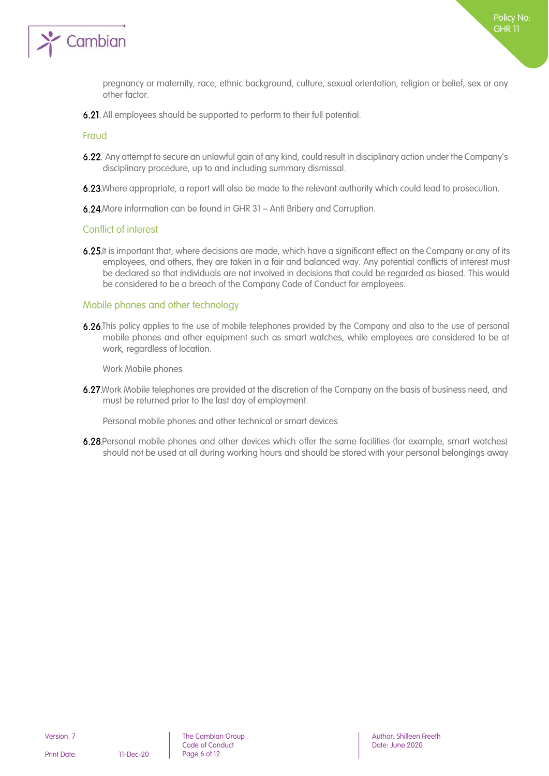

pregnancy or maternity, race, ethnic background, culture, sexual orientation, religion or belief, sex or any other factor.

6.21. All employees should be supported to perform to their full potential.

#### Fraud

- 6.22. Any attempt to secure an unlawful gain of any kind, could result in disciplinary action under the Company's disciplinary procedure, up to and including summary dismissal.
- 6.23. Where appropriate, a report will also be made to the relevant authority which could lead to prosecution.
- 6.24 More information can be found in GHR 31 Anti Bribery and Corruption.

#### Conflict of interest

6.25 It is important that, where decisions are made, which have a significant effect on the Company or any of its employees, and others, they are taken in a fair and balanced way. Any potential conflicts of interest must be declared so that individuals are not involved in decisions that could be regarded as biased. This would be considered to be a breach of the Company Code of Conduct for employees.

#### Mobile phones and other technology

6.26. This policy applies to the use of mobile telephones provided by the Company and also to the use of personal mobile phones and other equipment such as smart watches, while employees are considered to be at work, regardless of location.

Work Mobile phones

6.27 Work Mobile telephones are provided at the discretion of the Company on the basis of business need, and must be returned prior to the last day of employment.

Personal mobile phones and other technical or smart devices

**6.28** Personal mobile phones and other devices which offer the same facilities (for example, smart watches) should not be used at all during working hours and should be stored with your personal belongings away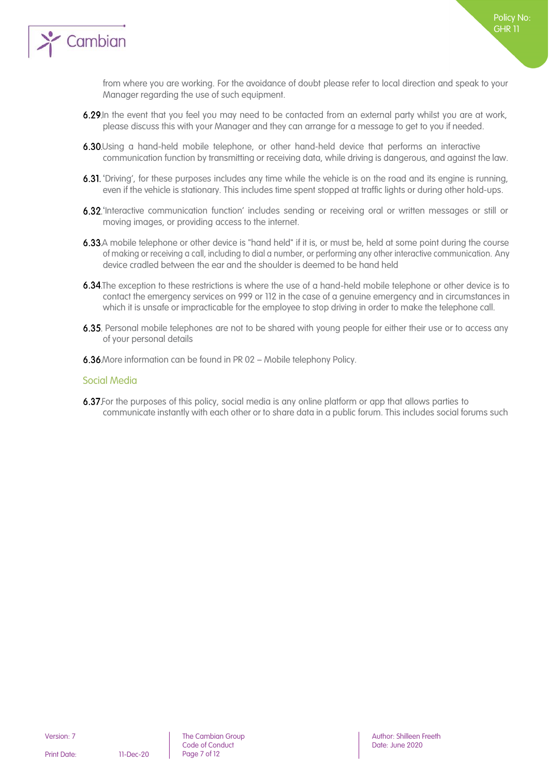

from where you are working. For the avoidance of doubt please refer to local direction and speak to your Manager regarding the use of such equipment.

Policy No: GHR 11

- 6.29. In the event that you feel you may need to be contacted from an external party whilst you are at work, please discuss this with your Manager and they can arrange for a message to get to you if needed.
- 6.30 Using a hand-held mobile telephone, or other hand-held device that performs an interactive communication function by transmitting or receiving data, while driving is dangerous, and against the law.
- 6.31. 'Driving', for these purposes includes any time while the vehicle is on the road and its engine is running, even if the vehicle is stationary. This includes time spent stopped at traffic lights or during other hold-ups.
- 6.32. Interactive communication function' includes sending or receiving oral or written messages or still or moving images, or providing access to the internet.
- 6.33.A mobile telephone or other device is "hand held" if it is, or must be, held at some point during the course of making or receiving a call, including to dial a number, or performing any other interactive communication. Any device cradled between the ear and the shoulder is deemed to be hand held
- 6.34. The exception to these restrictions is where the use of a hand-held mobile telephone or other device is to contact the emergency services on 999 or 112 in the case of a genuine emergency and in circumstances in which it is unsafe or impracticable for the employee to stop driving in order to make the telephone call.
- 6.35. Personal mobile telephones are not to be shared with young people for either their use or to access any of your personal details
- 6.36. More information can be found in PR 02 Mobile telephony Policy.

#### Social Media

6.37 For the purposes of this policy, social media is any online platform or app that allows parties to communicate instantly with each other or to share data in a public forum. This includes social forums such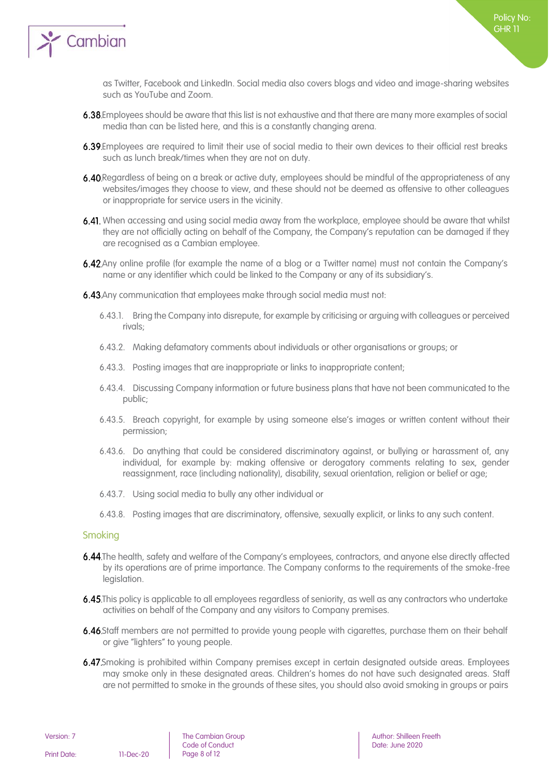

as Twitter, Facebook and LinkedIn. Social media also covers blogs and video and image-sharing websites such as YouTube and Zoom.

Policy No: **GHR 11** 

- 6.38. Employees should be aware that this list is not exhaustive and that there are many more examples of social media than can be listed here, and this is a constantly changing arena.
- 6.39 Employees are required to limit their use of social media to their own devices to their official rest breaks such as lunch break/times when they are not on duty.
- 6.40 Regardless of being on a break or active duty, employees should be mindful of the appropriateness of any websites/images they choose to view, and these should not be deemed as offensive to other colleagues or inappropriate for service users in the vicinity.
- 6.41. When accessing and using social media away from the workplace, employee should be aware that whilst they are not officially acting on behalf of the Company, the Company's reputation can be damaged if they are recognised as a Cambian employee.
- **6.42.** Any online profile (for example the name of a blog or a Twitter name) must not contain the Company's name or any identifier which could be linked to the Company or any of its subsidiary's.
- 6.43. Any communication that employees make through social media must not:
	- 6.43.1. Bring the Company into disrepute, for example by criticising or arguing with colleagues or perceived rivals;
	- 6.43.2. Making defamatory comments about individuals or other organisations or groups; or
	- 6.43.3. Posting images that are inappropriate or links to inappropriate content;
	- 6.43.4. Discussing Company information or future business plans that have not been communicated to the public;
	- 6.43.5. Breach copyright, for example by using someone else's images or written content without their permission;
	- 6.43.6. Do anything that could be considered discriminatory against, or bullying or harassment of, any individual, for example by: making offensive or derogatory comments relating to sex, gender reassignment, race (including nationality), disability, sexual orientation, religion or belief or age;
	- 6.43.7. Using social media to bully any other individual or
	- 6.43.8. Posting images that are discriminatory, offensive, sexually explicit, or links to any such content.

#### Smoking

- 6.44. The health, safety and welfare of the Company's employees, contractors, and anyone else directly affected by its operations are of prime importance. The Company conforms to the requirements of the smoke-free legislation.
- 6.45. This policy is applicable to all employees regardless of seniority, as well as any contractors who undertake activities on behalf of the Company and any visitors to Company premises.
- **6.46.** Staff members are not permitted to provide young people with cigarettes, purchase them on their behalf or give "lighters" to young people.
- 6.47. Smoking is prohibited within Company premises except in certain designated outside areas. Employees may smoke only in these designated areas. Children's homes do not have such designated areas. Staff are not permitted to smoke in the grounds of these sites, you should also avoid smoking in groups or pairs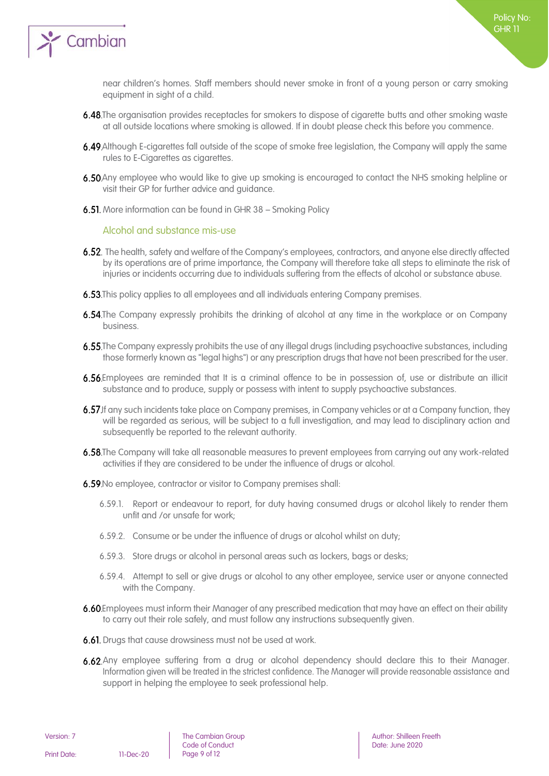

near children's homes. Staff members should never smoke in front of a young person or carry smoking equipment in sight of a child.

- 6.48. The organisation provides receptacles for smokers to dispose of cigarette butts and other smoking waste at all outside locations where smoking is allowed. If in doubt please check this before you commence.
- 6.49 Although E-cigarettes fall outside of the scope of smoke free legislation, the Company will apply the same rules to E-Cigarettes as cigarettes.
- 6.50 Any employee who would like to give up smoking is encouraged to contact the NHS smoking helpline or visit their GP for further advice and guidance.
- 6.51. More information can be found in GHR 38 Smoking Policy

#### Alcohol and substance mis-use

- 6.52. The health, safety and welfare of the Company's employees, contractors, and anyone else directly affected by its operations are of prime importance, the Company will therefore take all steps to eliminate the risk of injuries or incidents occurring due to individuals suffering from the effects of alcohol or substance abuse.
- 6.53. This policy applies to all employees and all individuals entering Company premises.
- **6.54.** The Company expressly prohibits the drinking of alcohol at any time in the workplace or on Company business.
- 6.55. The Company expressly prohibits the use of any illegal drugs (including psychoactive substances, including those formerly known as "legal highs") or any prescription drugs that have not been prescribed for the user.
- **6.56** Employees are reminded that It is a criminal offence to be in possession of, use or distribute an illicit substance and to produce, supply or possess with intent to supply psychoactive substances.
- 6.57 If any such incidents take place on Company premises, in Company vehicles or at a Company function, they will be regarded as serious, will be subject to a full investigation, and may lead to disciplinary action and subsequently be reported to the relevant authority.
- 6.58. The Company will take all reasonable measures to prevent employees from carrying out any work-related activities if they are considered to be under the influence of drugs or alcohol.
- 6.59 No employee, contractor or visitor to Company premises shall:
	- 6.59.1. Report or endeavour to report, for duty having consumed drugs or alcohol likely to render them unfit and /or unsafe for work;
	- 6.59.2. Consume or be under the influence of drugs or alcohol whilst on duty;
	- 6.59.3. Store drugs or alcohol in personal areas such as lockers, bags or desks;
	- 6.59.4. Attempt to sell or give drugs or alcohol to any other employee, service user or anyone connected with the Company.
- 6.60. Employees must inform their Manager of any prescribed medication that may have an effect on their ability to carry out their role safely, and must follow any instructions subsequently given.
- 6.61. Drugs that cause drowsiness must not be used at work.
- 6.62. Any employee suffering from a drug or alcohol dependency should declare this to their Manager. Information given will be treated in the strictest confidence. The Manager will provide reasonable assistance and support in helping the employee to seek professional help.

Print Date: 11-Dec-20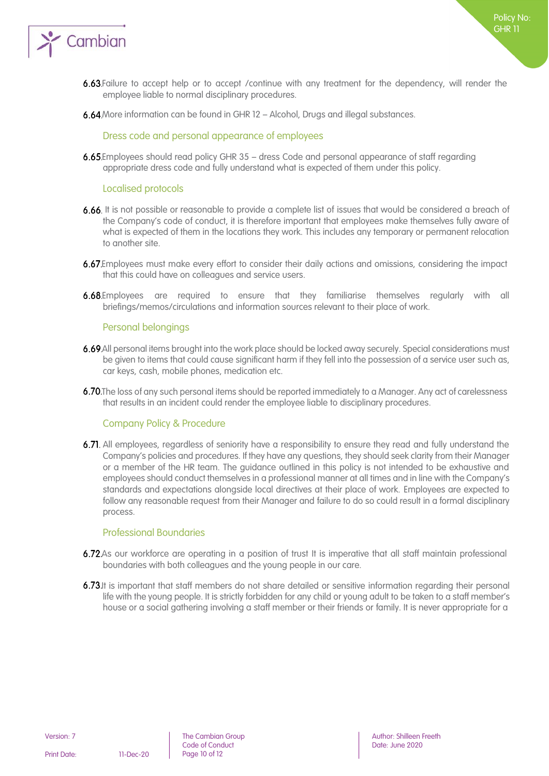

- 6.63 Failure to accept help or to accept /continue with any treatment for the dependency, will render the employee liable to normal disciplinary procedures.
- 6.64 More information can be found in GHR 12 Alcohol, Drugs and illegal substances.

Dress code and personal appearance of employees

Employees should read policy GHR 35 – dress Code and personal appearance of staff regarding appropriate dress code and fully understand what is expected of them under this policy.

#### Localised protocols

- 6.66. It is not possible or reasonable to provide a complete list of issues that would be considered a breach of the Company's code of conduct, it is therefore important that employees make themselves fully aware of what is expected of them in the locations they work. This includes any temporary or permanent relocation to another site.
- **6.67** Employees must make every effort to consider their daily actions and omissions, considering the impact that this could have on colleagues and service users.
- **6.68** Employees are required to ensure that they familiarise themselves regularly with all briefings/memos/circulations and information sources relevant to their place of work.

#### Personal belongings

- 6.69.All personal items brought into the work place should be locked away securely. Special considerations must be given to items that could cause significant harm if they fell into the possession of a service user such as, car keys, cash, mobile phones, medication etc.
- 6.70. The loss of any such personal items should be reported immediately to a Manager. Any act of carelessness that results in an incident could render the employee liable to disciplinary procedures.

#### Company Policy & Procedure

6.71. All employees, regardless of seniority have a responsibility to ensure they read and fully understand the Company's policies and procedures. If they have any questions, they should seek clarity from their Manager or a member of the HR team. The guidance outlined in this policy is not intended to be exhaustive and employees should conduct themselves in a professional manner at all times and in line with the Company's standards and expectations alongside local directives at their place of work. Employees are expected to follow any reasonable request from their Manager and failure to do so could result in a formal disciplinary process.

#### Professional Boundaries

- 6.72.As our workforce are operating in a position of trust It is imperative that all staff maintain professional boundaries with both colleagues and the young people in our care.
- 6.73 It is important that staff members do not share detailed or sensitive information regarding their personal life with the young people. It is strictly forbidden for any child or young adult to be taken to a staff member's house or a social gathering involving a staff member or their friends or family. It is never appropriate for a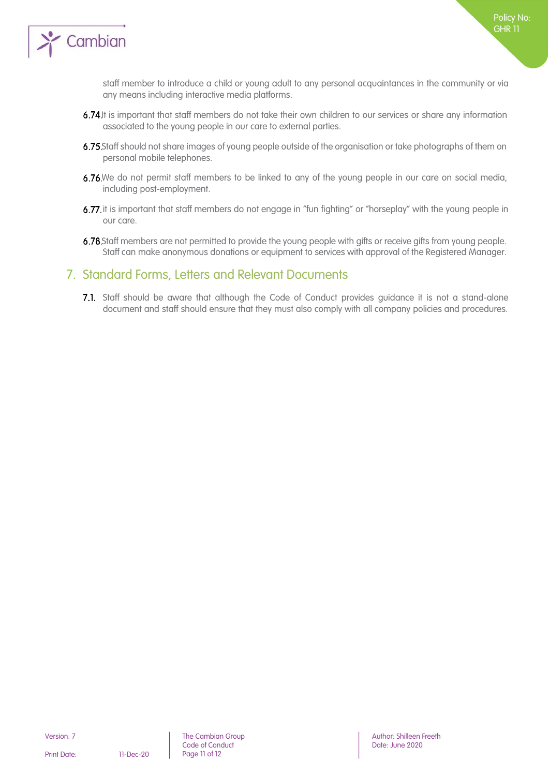

staff member to introduce a child or young adult to any personal acquaintances in the community or via any means including interactive media platforms.

Policy No: GHR 11

- 6.74 It is important that staff members do not take their own children to our services or share any information associated to the young people in our care to external parties.
- 6.75 Staff should not share images of young people outside of the organisation or take photographs of them on personal mobile telephones.
- 6.76. We do not permit staff members to be linked to any of the young people in our care on social media, including post-employment.
- 6.77 it is important that staff members do not engage in "fun fighting" or "horseplay" with the young people in our care.
- 6.78 Staff members are not permitted to provide the young people with gifts or receive gifts from young people. Staff can make anonymous donations or equipment to services with approval of the Registered Manager.

### <span id="page-11-0"></span>7. Standard Forms, Letters and Relevant Documents

7.1. Staff should be aware that although the Code of Conduct provides guidance it is not a stand-alone document and staff should ensure that they must also comply with all company policies and procedures.